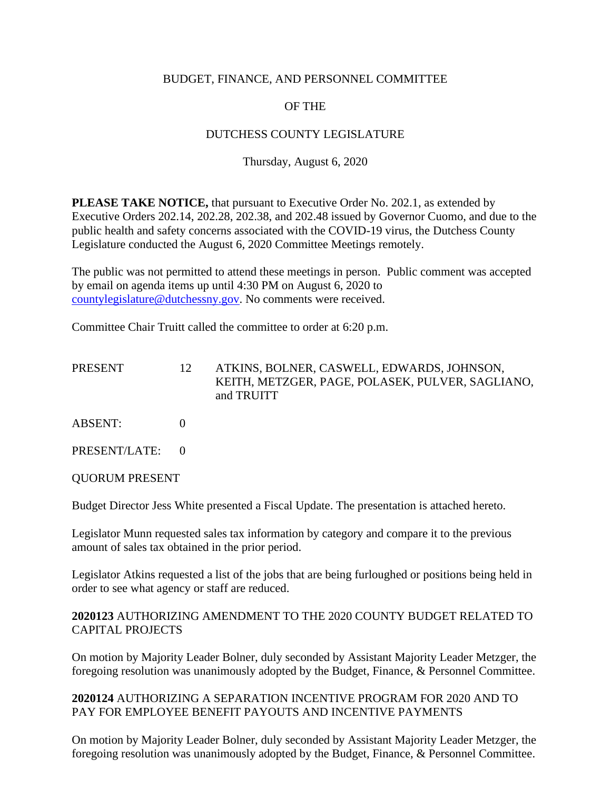### BUDGET, FINANCE, AND PERSONNEL COMMITTEE

### OF THE

### DUTCHESS COUNTY LEGISLATURE

### Thursday, August 6, 2020

**PLEASE TAKE NOTICE,** that pursuant to Executive Order No. 202.1, as extended by Executive Orders 202.14, 202.28, 202.38, and 202.48 issued by Governor Cuomo, and due to the public health and safety concerns associated with the COVID-19 virus, the Dutchess County Legislature conducted the August 6, 2020 Committee Meetings remotely.

The public was not permitted to attend these meetings in person. Public comment was accepted by email on agenda items up until 4:30 PM on August 6, 2020 to [countylegislature@dutchessny.gov.](mailto:countylegislature@dutchessny.gov) No comments were received.

Committee Chair Truitt called the committee to order at 6:20 p.m.

| PRESENT        | 12 | ATKINS, BOLNER, CASWELL, EDWARDS, JOHNSON,<br>KEITH, METZGER, PAGE, POLASEK, PULVER, SAGLIANO,<br>and TRUITT |
|----------------|----|--------------------------------------------------------------------------------------------------------------|
| <b>ABSENT:</b> |    |                                                                                                              |
| PRESENT/LATE:  |    |                                                                                                              |

QUORUM PRESENT

Budget Director Jess White presented a Fiscal Update. The presentation is attached hereto.

Legislator Munn requested sales tax information by category and compare it to the previous amount of sales tax obtained in the prior period.

Legislator Atkins requested a list of the jobs that are being furloughed or positions being held in order to see what agency or staff are reduced.

### **2020123** AUTHORIZING AMENDMENT TO THE 2020 COUNTY BUDGET RELATED TO CAPITAL PROJECTS

On motion by Majority Leader Bolner, duly seconded by Assistant Majority Leader Metzger, the foregoing resolution was unanimously adopted by the Budget, Finance, & Personnel Committee.

### **2020124** AUTHORIZING A SEPARATION INCENTIVE PROGRAM FOR 2020 AND TO PAY FOR EMPLOYEE BENEFIT PAYOUTS AND INCENTIVE PAYMENTS

On motion by Majority Leader Bolner, duly seconded by Assistant Majority Leader Metzger, the foregoing resolution was unanimously adopted by the Budget, Finance, & Personnel Committee.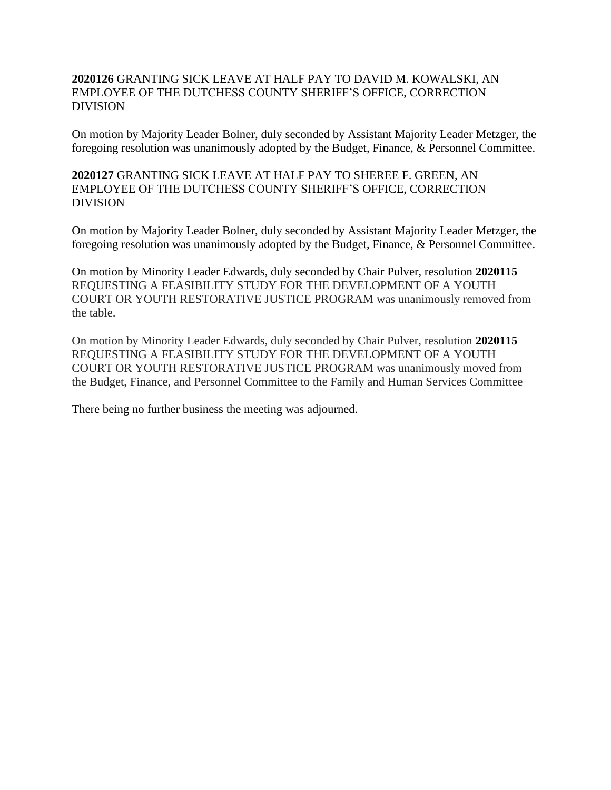### **2020126** GRANTING SICK LEAVE AT HALF PAY TO DAVID M. KOWALSKI, AN EMPLOYEE OF THE DUTCHESS COUNTY SHERIFF'S OFFICE, CORRECTION DIVISION

On motion by Majority Leader Bolner, duly seconded by Assistant Majority Leader Metzger, the foregoing resolution was unanimously adopted by the Budget, Finance, & Personnel Committee.

**2020127** GRANTING SICK LEAVE AT HALF PAY TO SHEREE F. GREEN, AN EMPLOYEE OF THE DUTCHESS COUNTY SHERIFF'S OFFICE, CORRECTION DIVISION

On motion by Majority Leader Bolner, duly seconded by Assistant Majority Leader Metzger, the foregoing resolution was unanimously adopted by the Budget, Finance, & Personnel Committee.

On motion by Minority Leader Edwards, duly seconded by Chair Pulver, resolution **2020115** REQUESTING A FEASIBILITY STUDY FOR THE DEVELOPMENT OF A YOUTH COURT OR YOUTH RESTORATIVE JUSTICE PROGRAM was unanimously removed from the table.

On motion by Minority Leader Edwards, duly seconded by Chair Pulver, resolution **2020115** REQUESTING A FEASIBILITY STUDY FOR THE DEVELOPMENT OF A YOUTH COURT OR YOUTH RESTORATIVE JUSTICE PROGRAM was unanimously moved from the Budget, Finance, and Personnel Committee to the Family and Human Services Committee

There being no further business the meeting was adjourned.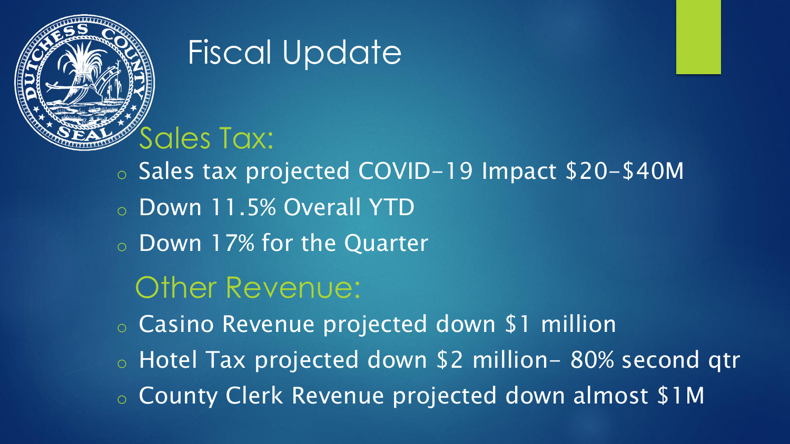

## Fiscal Update

o Sales tax projected COVID-19 Impact \$20-\$40M o Down 11.5% Overall YTD o Down 17% for the Quarter Other Revenue: o Casino Revenue projected down \$1 million o Hotel Tax projected down \$2 million- 80% second qtr

o County Clerk Revenue projected down almost \$1M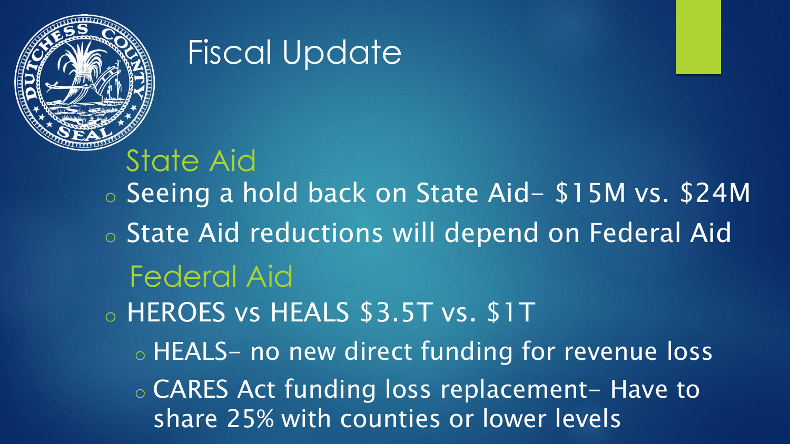

## Fiscal Update

o Seeing a hold back on State Aid- \$15M vs. \$24M o State Aid reductions will depend on Federal Aid o HEROES vs HEALS \$3.5T vs. \$1T o HEALS- no new direct funding for revenue loss ◦ CARES Act funding loss replacement- Have to share 25% with counties or lower levels State Aid Federal Aid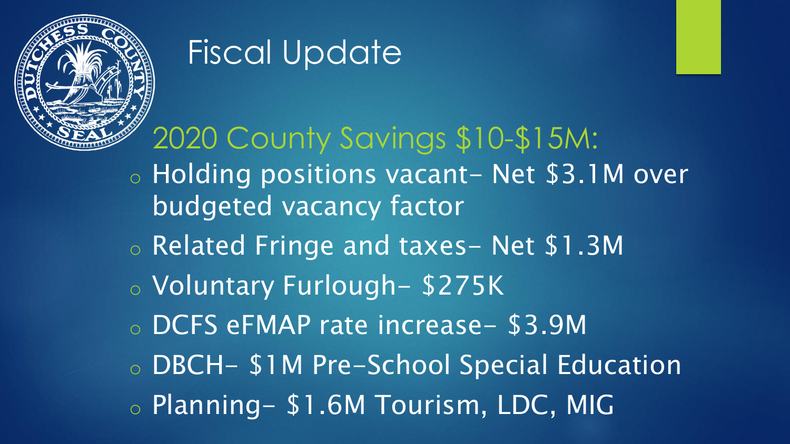

# Fiscal Update

### 2020 County Savings \$10-\$15M:

- o Holding positions vacant- Net \$3.1M over budgeted vacancy factor
- o Related Fringe and taxes- Net \$1.3M
- o Voluntary Furlough- \$275K
- o DCFS eFMAP rate increase- \$3.9M
- o DBCH- \$1M Pre-School Special Education
- o Planning- \$1.6M Tourism, LDC, MIG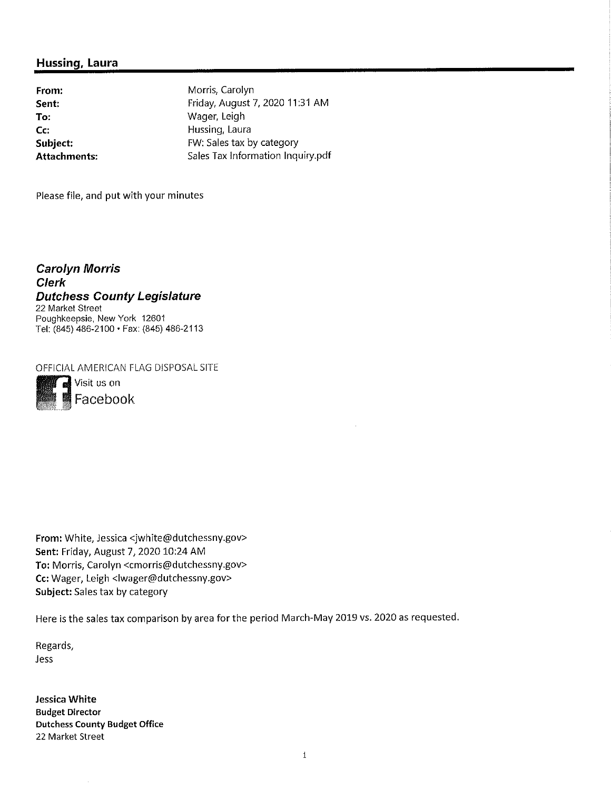#### **Hussing, Laura**

**From: Sent: To: Cc: Subject: Attachments:**

Morris, Carolyn Friday, August 7, <sup>2020</sup> 11:31 AM Wager, Leigh Hussing, Laura FW: Sales tax by category Sales Tax Information lnquiry.pdf

Please file, and put with your minutes

*Carolyn Morris Clerk Dutchess County Legislature* 22 Market Street Poughkeepsie, New York 12601 Tel: (845) 486-2100 •Fax: (845) 486-2113

OFFICIAL AMERICAN FLAG DISPOSAL SITE



**From:** White, Jessica <sup>&</sup>lt;jwhite@dutchessny.gov<sup>&</sup>gt; **Sent:** Friday, August 7, 2020 <sup>10</sup>:<sup>24</sup> AM To: Morris, Carolyn <cmorris@dutchessny.gov> **Cc:** Wager, Leigh <lwager@dutchessny.gov>

**Subject:** Sales tax by category

Here is the sales tax comparison by area for the period March-May <sup>2019</sup> vs. <sup>2020</sup> as requested.

Regards, Jess

**Jessica White Budget Director Dutchess County Budget Office** 22 Market Street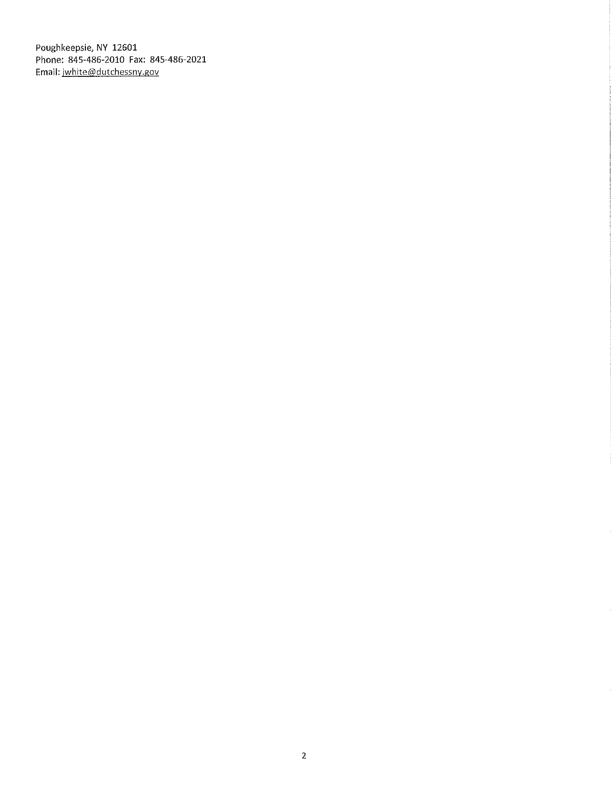Poughkeepsie, NY 12601 Phone: 845-486-2010 Fax: 845-486-2021 Email: jwhite@dutchessny.gov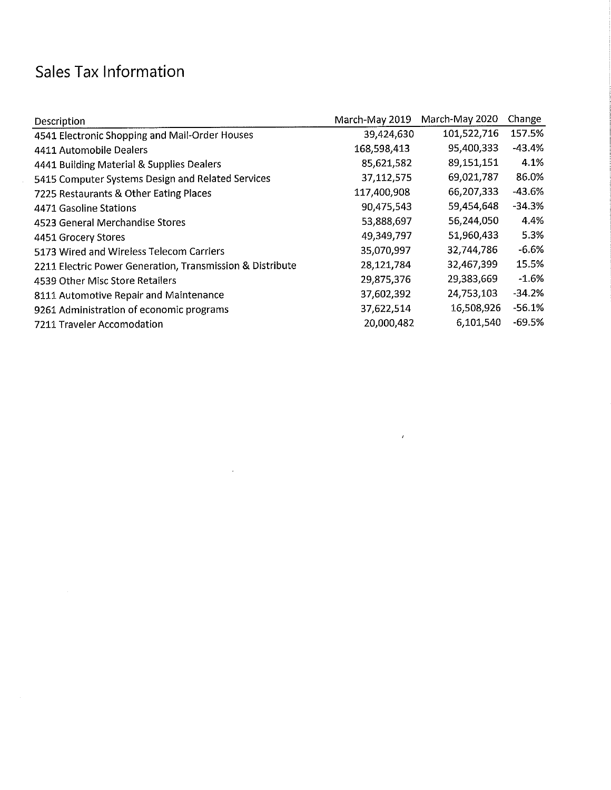### Sales Tax Information

| Description                                               | March-May 2019 | March-May 2020 | Change   |
|-----------------------------------------------------------|----------------|----------------|----------|
| 4541 Electronic Shopping and Mail-Order Houses            | 39,424,630     | 101,522,716    | 157.5%   |
| 4411 Automobile Dealers                                   | 168,598,413    | 95,400,333     | $-43.4%$ |
| 4441 Building Material & Supplies Dealers                 | 85,621,582     | 89,151,151     | 4.1%     |
| 5415 Computer Systems Design and Related Services         | 37,112,575     | 69,021,787     | 86.0%    |
| 7225 Restaurants & Other Eating Places                    | 117,400,908    | 66,207,333     | $-43.6%$ |
| 4471 Gasoline Stations                                    | 90,475,543     | 59,454,648     | $-34.3%$ |
| 4523 General Merchandise Stores                           | 53,888,697     | 56,244,050     | 4.4%     |
| 4451 Grocery Stores                                       | 49,349,797     | 51,960,433     | 5.3%     |
| 5173 Wired and Wireless Telecom Carriers                  | 35,070,997     | 32,744,786     | $-6.6%$  |
| 2211 Electric Power Generation, Transmission & Distribute | 28,121,784     | 32,467,399     | 15.5%    |
| 4539 Other Misc Store Retailers                           | 29,875,376     | 29,383,669     | $-1.6%$  |
| 8111 Automotive Repair and Maintenance                    | 37,602,392     | 24,753,103     | $-34.2%$ |
| 9261 Administration of economic programs                  | 37,622,514     | 16,508,926     | $-56.1%$ |
| 7211 Traveler Accomodation                                | 20,000,482     | 6,101,540      | $-69.5%$ |

 $\label{eq:2.1} \frac{1}{\sqrt{2}}\int_{\mathbb{R}^3}\frac{1}{\sqrt{2}}\left(\frac{1}{\sqrt{2}}\right)^2\frac{1}{\sqrt{2}}\left(\frac{1}{\sqrt{2}}\right)^2\frac{1}{\sqrt{2}}\int_{\mathbb{R}^3}\frac{1}{\sqrt{2}}\frac{1}{\sqrt{2}}\frac{1}{\sqrt{2}}\frac{1}{\sqrt{2}}\frac{1}{\sqrt{2}}\int_{\mathbb{R}^3}\frac{1}{\sqrt{2}}\frac{1}{\sqrt{2}}\frac{1}{\sqrt{2}}\frac{1}{\sqrt{2}}\frac{1}{\sqrt{2}}\int_{\mathbb$ 

 $\mathbf{z}$  and  $\mathbf{z}$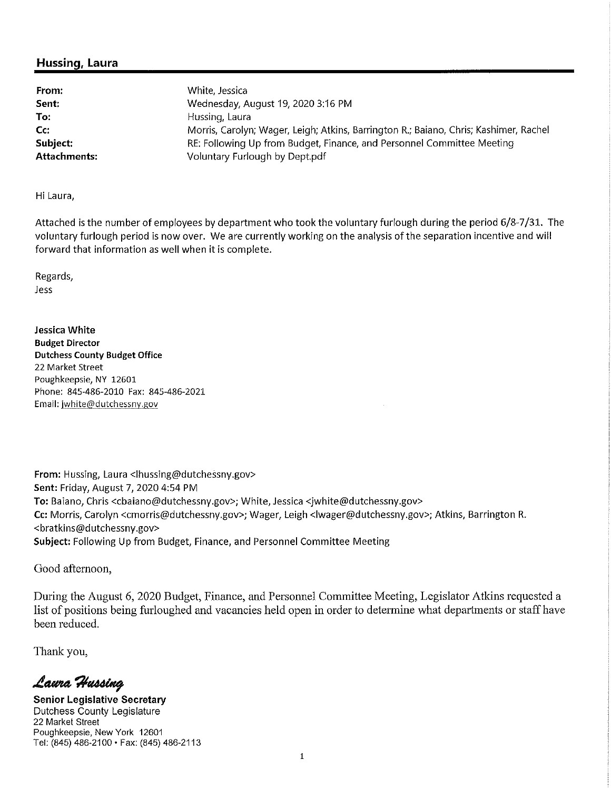#### **Hussing, Laura**

| From:        | White, Jessica                                                                        |
|--------------|---------------------------------------------------------------------------------------|
| Sent:        | Wednesday, August 19, 2020 3:16 PM                                                    |
| To:          | Hussing, Laura                                                                        |
| Cc:          | Morris, Carolyn; Wager, Leigh; Atkins, Barrington R.; Baiano, Chris; Kashimer, Rachel |
| Subject:     | RE: Following Up from Budget, Finance, and Personnel Committee Meeting                |
| Attachments: | Voluntary Furlough by Dept.pdf                                                        |

Hi Laura,

Attached is the number of employees by department who took the voluntary furlough during the period 6/8-7/31. The reduction to the number of employees by supermanent the continuous controlled aning the periodicy of the separation incentive and will forward that information as well when it is complete.

Regards, Jess

**Jessica White Budget Director Dutchess County Budget Office** 22 Market Street Poughkeepsie, NY <sup>12601</sup> Phone: 84S-486-2010 Fax: 845-486-2021 Email: jwhite@dutchessny.gov

From: Hussing, Laura <lhussing@dutchessny.gov> **Sent:**Friday, August 7,2020 4:54 PM **To:** Baiano,Chris <cbaiano@dutchessny.gov>;White, Jessica <jwhite@dutchessny.gov> Cc: Morris, Carolyn <cmorris@dutchessny.gov>; Wager, Leigh <lwager@dutchessny.gov>; Atkins, Barrington R. <bratkins@dutchessny,gov> **Subject:** Following Up from Budget, Finance, and Personnel Committee Meeting

Good afternoon,

During the August 6, 2020 Budget, Finance, and Personnel Committee Meeting, Legislator Atkins requested a list of positions being furloughed and vacancies held open in order to determine what departments or staff have been reduced.

Thank you,

Laura Hussing

**Senior Legislative Secretary** Dutchess County Legislature 22 Market Street Poughkeepsie, New York 12601 Tel: (845) 486-2100 •Fax: (845) 486-2113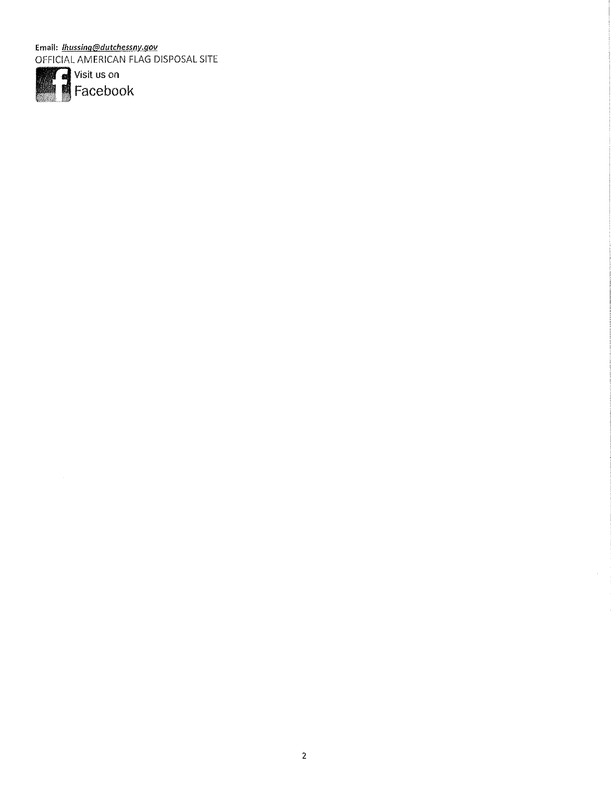Email: *lhussing@dutchessny.gov* OFFICIAL AMERICAN FLAG DISPOSAL SITE



 $\sim 10^6$ 

 $\sim$